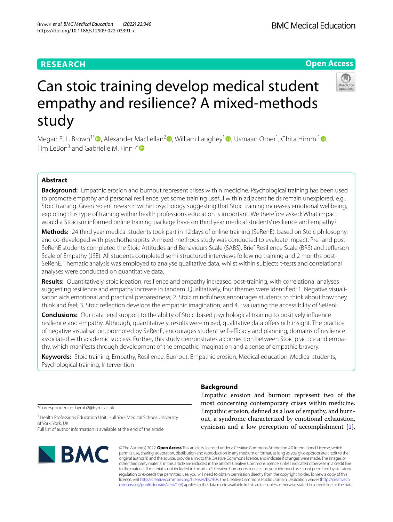# **RESEARCH**

https://doi.org/10.1186/s12909-022-03391-x

# Can stoic training develop medical student empathy and resilience? A mixed-methods study

Megan E. L. Brown1[\\*](https://orcid.org/0000-0002-9334-0922) , Alexander MacLellan[2](https://orcid.org/0000-0002-3927-3407) , William Laughey1 [,](https://orcid.org/0000-0003-4076-2299) Usmaan Omer1 , Ghita Himmi<sup>1</sup> [,](https://orcid.org/0000-0001-6421-2879) Tim LeBon<sup>3</sup> and Gabrielle M. Finn<sup>1,4</sup>

## **Abstract**

**Background:** Empathic erosion and burnout represent crises within medicine. Psychological training has been used to promote empathy and personal resilience, yet some training useful within adjacent felds remain unexplored, e.g., Stoic training. Given recent research within psychology suggesting that Stoic training increases emotional wellbeing, exploring this type of training within health professions education is important. We therefore asked: What impact would a Stoicism informed online training package have on third year medical students' resilience and empathy?

**Methods:** 24 third year medical students took part in 12days of online training (SeRenE), based on Stoic philosophy, and co-developed with psychotherapists. A mixed-methods study was conducted to evaluate impact. Pre- and post-SeRenE students completed the Stoic Attitudes and Behaviours Scale (SABS), Brief Resilience Scale (BRS) and Jeferson Scale of Empathy (JSE). All students completed semi-structured interviews following training and 2 months post-SeRenE. Thematic analysis was employed to analyse qualitative data, whilst within subjects t-tests and correlational analyses were conducted on quantitative data.

**Results:** Quantitatively, stoic ideation, resilience and empathy increased post-training, with correlational analyses suggesting resilience and empathy increase in tandem. Qualitatively, four themes were identifed: 1. Negative visualisation aids emotional and practical preparedness; 2. Stoic mindfulness encourages students to think about how they think and feel; 3. Stoic refection develops the empathic imagination; and 4. Evaluating the accessibility of SeRenE.

**Conclusions:** Our data lend support to the ability of Stoic-based psychological training to positively infuence resilience and empathy. Although, quantitatively, results were mixed, qualitative data ofers rich insight. The practice of negative visualisation, promoted by SeRenE, encourages student self-efficacy and planning, domains of resilience associated with academic success. Further, this study demonstrates a connection between Stoic practice and empathy, which manifests through development of the empathic imagination and a sense of empathic bravery.

**Keywords:** Stoic training, Empathy, Resilience, Burnout, Empathic erosion, Medical education, Medical students, Psychological training, Intervention

**Background**

Empathic erosion and burnout represent two of the most concerning contemporary crises within medicine. Empathic erosion, defned as a loss of empathy, and burnout, a syndrome characterized by emotional exhaustion, cynicism and a low perception of accomplishment [\[1](#page-10-0)],

© The Author(s) 2022. **Open Access** This article is licensed under a Creative Commons Attribution 4.0 International License, which permits use, sharing, adaptation, distribution and reproduction in any medium or format, as long as you give appropriate credit to the original author(s) and the source, provide a link to the Creative Commons licence, and indicate if changes were made. The images or other third party material in this article are included in the article's Creative Commons licence, unless indicated otherwise in a credit line to the material. If material is not included in the article's Creative Commons licence and your intended use is not permitted by statutory regulation or exceeds the permitted use, you will need to obtain permission directly from the copyright holder. To view a copy of this licence, visit [http://creativecommons.org/licenses/by/4.0/.](http://creativecommons.org/licenses/by/4.0/) The Creative Commons Public Domain Dedication waiver ([http://creativeco](http://creativecommons.org/publicdomain/zero/1.0/) [mmons.org/publicdomain/zero/1.0/](http://creativecommons.org/publicdomain/zero/1.0/)) applies to the data made available in this article, unless otherwise stated in a credit line to the data.

\*Correspondence: hymb2@hyms.ac.uk

**BMC** 

<sup>1</sup> Health Professions Education Unit, Hull York Medical School, University of York, York, UK

Full list of author information is available at the end of the article



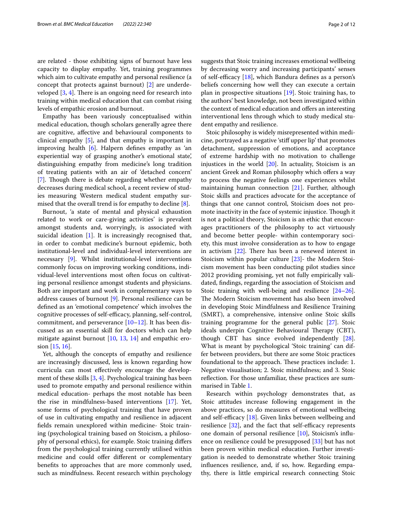are related - those exhibiting signs of burnout have less capacity to display empathy. Yet, training programmes which aim to cultivate empathy and personal resilience (a concept that protects against burnout) [\[2](#page-10-1)] are underdeveloped  $[3, 4]$  $[3, 4]$  $[3, 4]$ . There is an ongoing need for research into training within medical education that can combat rising levels of empathic erosion and burnout.

Empathy has been variously conceptualised within medical education, though scholars generally agree there are cognitive, afective and behavioural components to clinical empathy [[5\]](#page-10-4), and that empathy is important in improving health [[6\]](#page-10-5). Halpern defnes empathy as 'an experiential way of grasping another's emotional state', distinguishing empathy from medicine's long tradition of treating patients with an air of 'detached concern' [[7\]](#page-10-6). Though there is debate regarding whether empathy decreases during medical school, a recent review of studies measuring Western medical student empathy surmised that the overall trend is for empathy to decline [[8\]](#page-10-7).

Burnout, 'a state of mental and physical exhaustion related to work or care-giving activities' is prevalent amongst students and, worryingly, is associated with suicidal ideation [\[1](#page-10-0)]. It is increasingly recognised that, in order to combat medicine's burnout epidemic, both institutional-level and individual-level interventions are necessary [\[9](#page-10-8)]. Whilst institutional-level interventions commonly focus on improving working conditions, individual-level interventions most often focus on cultivating personal resilience amongst students and physicians. Both are important and work in complementary ways to address causes of burnout [[9\]](#page-10-8). Personal resilience can be defned as an 'emotional competence' which involves the cognitive processes of self-efficacy, planning, self-control, commitment, and perseverance  $[10-12]$  $[10-12]$  $[10-12]$ . It has been discussed as an essential skill for doctors which can help mitigate against burnout [\[10,](#page-10-9) [13](#page-10-11), [14\]](#page-10-12) and empathic erosion [\[15](#page-10-13), [16](#page-11-0)].

Yet, although the concepts of empathy and resilience are increasingly discussed, less is known regarding how curricula can most efectively encourage the development of these skills [\[3](#page-10-2), [4\]](#page-10-3). Psychological training has been used to promote empathy and personal resilience within medical education- perhaps the most notable has been the rise in mindfulness-based interventions [\[17](#page-11-1)]. Yet, some forms of psychological training that have proven of use in cultivating empathy and resilience in adjacent felds remain unexplored within medicine- Stoic training (psychological training based on Stoicism, a philosophy of personal ethics), for example. Stoic training difers from the psychological training currently utilised within medicine and could offer different or complementary benefts to approaches that are more commonly used, such as mindfulness. Recent research within psychology

suggests that Stoic training increases emotional wellbeing by decreasing worry and increasing participants' senses of self-efficacy  $[18]$  $[18]$ , which Bandura defines as a person's beliefs concerning how well they can execute a certain plan in prospective situations [\[19](#page-11-3)]. Stoic training has, to the authors' best knowledge, not been investigated within the context of medical education and offers an interesting interventional lens through which to study medical student empathy and resilience.

Stoic philosophy is widely misrepresented within medicine, portrayed as a negative 'stif upper lip' that promotes detachment, suppression of emotions, and acceptance of extreme hardship with no motivation to challenge injustices in the world [[20\]](#page-11-4). In actuality, Stoicism is an ancient Greek and Roman philosophy which offers a way to process the negative feelings one experiences whilst maintaining human connection [[21](#page-11-5)]. Further, although Stoic skills and practices advocate for the acceptance of things that one cannot control, Stoicism does not promote inactivity in the face of systemic injustice. Though it is not a political theory, Stoicism is an ethic that encourages practitioners of the philosophy to act virtuously and become better people- within contemporary society, this must involve consideration as to how to engage in activism  $[22]$  $[22]$  $[22]$ . There has been a renewed interest in Stoicism within popular culture [[23\]](#page-11-7)- the Modern Stoicism movement has been conducting pilot studies since 2012 providing promising, yet not fully empirically validated, fndings, regarding the association of Stoicism and Stoic training with well-being and resilience [[24](#page-11-8)[–26](#page-11-9)]. The Modern Stoicism movement has also been involved in developing Stoic Mindfulness and Resilience Training (SMRT), a comprehensive, intensive online Stoic skills training programme for the general public [\[27\]](#page-11-10). Stoic ideals underpin Cognitive Behavioural Therapy (CBT), though CBT has since evolved independently [\[28](#page-11-11)]. What is meant by psychological 'Stoic training' can differ between providers, but there are some Stoic practices foundational to the approach. These practices include: 1. Negative visualisation; 2. Stoic mindfulness; and 3. Stoic refection. For those unfamiliar, these practices are summarised in Table [1.](#page-2-0)

Research within psychology demonstrates that, as Stoic attitudes increase following engagement in the above practices, so do measures of emotional wellbeing and self-efficacy  $[18]$  $[18]$ . Given links between wellbeing and resilience  $[32]$  $[32]$ , and the fact that self-efficacy represents one domain of personal resilience [[10\]](#page-10-9), Stoicism's infuence on resilience could be presupposed [\[33](#page-11-13)] but has not been proven within medical education. Further investigation is needed to demonstrate whether Stoic training infuences resilience, and, if so, how. Regarding empathy, there is little empirical research connecting Stoic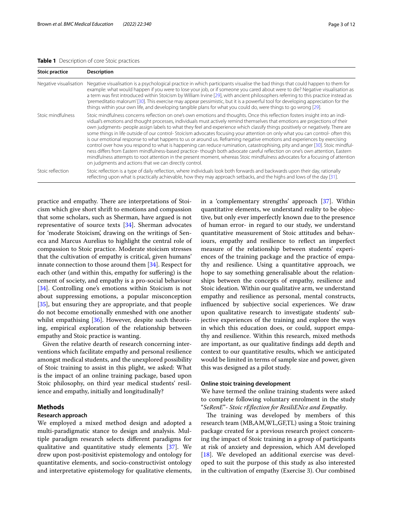### <span id="page-2-0"></span>**Table 1** Description of core Stoic practices

| <b>Stoic practice</b>  | <b>Description</b>                                                                                                                                                                                                                                                                                                                                                                                                                                                                                                                                                                                                                                                                                                                                                                                                                                                                                                                                                                                                                                                                                                      |
|------------------------|-------------------------------------------------------------------------------------------------------------------------------------------------------------------------------------------------------------------------------------------------------------------------------------------------------------------------------------------------------------------------------------------------------------------------------------------------------------------------------------------------------------------------------------------------------------------------------------------------------------------------------------------------------------------------------------------------------------------------------------------------------------------------------------------------------------------------------------------------------------------------------------------------------------------------------------------------------------------------------------------------------------------------------------------------------------------------------------------------------------------------|
| Negative visualisation | Negative visualisation is a psychological practice in which participants visualise the bad things that could happen to them for<br>example: what would happen if you were to lose your job, or if someone you cared about were to die? Negative visualisation as<br>a term was first introduced within Stoicism by William Irvine [29], with ancient philosophers referring to this practice instead as<br>'premeditatio malorum'[30]. This exercise may appear pessimistic, but it is a powerful tool for developing appreciation for the<br>things within your own life, and developing tangible plans for what you could do, were things to go wrong [29].                                                                                                                                                                                                                                                                                                                                                                                                                                                           |
| Stoic mindfulness      | Stoic mindfulness concerns reflection on one's own emotions and thoughts. Once this reflection fosters insight into an indi-<br>vidual's emotions and thought processes, individuals must actively remind themselves that emotions are projections of their<br>own judgments- people assign labels to what they feel and experience which classify things positively or negatively. There are<br>some things in life outside of our control-Stoicism advocates focusing your attention on only what you can control- often this<br>is our emotional response to what happens to us or around us. Reframing negative emotions and experiences by exercising<br>control over how you respond to what is happening can reduce rumination, catastrophising, pity and anger [30]. Stoic mindful-<br>ness differs from Eastern mindfulness-based practice- though both advocate careful reflection on one's own attention, Eastern<br>mindfulness attempts to root attention in the present moment, whereas Stoic mindfulness advocates for a focusing of attention<br>on judgments and actions that we can directly control. |
| Stoic reflection       | Stoic reflection is a type of daily reflection, where individuals look both forwards and backwards upon their day, rationally<br>reflecting upon what is practically achievable, how they may approach setbacks, and the highs and lows of the day [31].                                                                                                                                                                                                                                                                                                                                                                                                                                                                                                                                                                                                                                                                                                                                                                                                                                                                |

practice and empathy. There are interpretations of Stoicism which give short shrift to emotions and compassion that some scholars, such as Sherman, have argued is not representative of source texts [[34\]](#page-11-14). Sherman advocates for 'moderate Stoicism', drawing on the writings of Seneca and Marcus Aurelius to highlight the central role of compassion to Stoic practice. Moderate stoicism stresses that the cultivation of empathy is critical, given humans' innate connection to those around them [[34](#page-11-14)]. Respect for each other (and within this, empathy for suffering) is the cement of society, and empathy is a pro-social behaviour [[34\]](#page-11-14). Controlling one's emotions within Stoicism is not about suppressing emotions, a popular misconception [[35\]](#page-11-15), but ensuring they are appropriate, and that people do not become emotionally enmeshed with one another whilst empathising [[36\]](#page-11-16). However, despite such theorising, empirical exploration of the relationship between empathy and Stoic practice is wanting.

Given the relative dearth of research concerning interventions which facilitate empathy and personal resilience amongst medical students, and the unexplored possibility of Stoic training to assist in this plight, we asked: What is the impact of an online training package, based upon Stoic philosophy, on third year medical students' resilience and empathy, initially and longitudinally?

## **Methods**

### **Research approach**

We employed a mixed method design and adopted a multi-paradigmatic stance to design and analysis. Multiple paradigm research selects diferent paradigms for qualitative and quantitative study elements [[37](#page-11-17)]. We drew upon post-positivist epistemology and ontology for quantitative elements, and socio-constructivist ontology and interpretative epistemology for qualitative elements, in a 'complementary strengths' approach [\[37](#page-11-17)]. Within quantitative elements, we understand reality to be objective, but only ever imperfectly known due to the presence of human error- in regard to our study, we understand quantitative measurement of Stoic attitudes and behaviours, empathy and resilience to refect an imperfect measure of the relationship between students' experiences of the training package and the practice of empathy and resilience. Using a quantitative approach, we hope to say something generalisable about the relationships between the concepts of empathy, resilience and Stoic ideation. Within our qualitative arm, we understand empathy and resilience as personal, mental constructs, infuenced by subjective social experiences. We draw upon qualitative research to investigate students' subjective experiences of the training and explore the ways in which this education does, or could, support empathy and resilience. Within this research, mixed methods are important, as our qualitative fndings add depth and context to our quantitative results, which we anticipated would be limited in terms of sample size and power, given this was designed as a pilot study.

## **Online stoic training development**

We have termed the online training students were asked to complete following voluntary enrolment in the study "*SeRenE*"- *Stoic rEfection for ResiliENce and Empathy*.

The training was developed by members of this research team (MB,AM,WL,GF,TL) using a Stoic training package created for a previous research project concerning the impact of Stoic training in a group of participants at risk of anxiety and depression, which AM developed [[18\]](#page-11-2). We developed an additional exercise was developed to suit the purpose of this study as also interested in the cultivation of empathy (Exercise 3). Our combined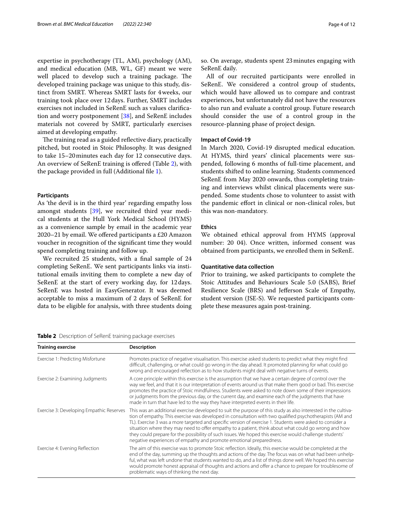expertise in psychotherapy (TL, AM), psychology (AM), and medical education (MB, WL, GF) meant we were well placed to develop such a training package. The developed training package was unique to this study, distinct from SMRT. Whereas SMRT lasts for 4weeks, our training took place over 12days. Further, SMRT includes exercises not included in SeRenE such as values clarifcation and worry postponement [[38](#page-11-21)], and SeRenE includes materials not covered by SMRT, particularly exercises aimed at developing empathy.

The training read as a guided reflective diary, practically pitched, but rooted in Stoic Philosophy. It was designed to take 15–20minutes each day for 12 consecutive days. An overview of SeRenE training is ofered (Table [2](#page-3-0)), with the package provided in full (Additional fle [1\)](#page-10-14).

#### **Participants**

As 'the devil is in the third year' regarding empathy loss amongst students [[39](#page-11-22)], we recruited third year medical students at the Hull York Medical School (HYMS) as a convenience sample by email in the academic year 2020–21 by email. We ofered participants a £20 Amazon voucher in recognition of the signifcant time they would spend completing training and follow up.

We recruited 25 students, with a final sample of 24 completing SeRenE. We sent participants links via institutional emails inviting them to complete a new day of SeRenE at the start of every working day, for 12days. SeRenE was hosted in EasyGenerator. It was deemed acceptable to miss a maximum of 2 days of SeRenE for data to be eligible for analysis, with three students doing so. On average, students spent 23minutes engaging with SeRenE daily.

All of our recruited participants were enrolled in SeRenE. We considered a control group of students, which would have allowed us to compare and contrast experiences, but unfortunately did not have the resources to also run and evaluate a control group. Future research should consider the use of a control group in the resource-planning phase of project design.

## **Impact of Covid‑19**

In March 2020, Covid-19 disrupted medical education. At HYMS, third years' clinical placements were suspended, following 6 months of full-time placement, and students shifted to online learning. Students commenced SeRenE from May 2020 onwards, thus completing training and interviews whilst clinical placements were suspended. Some students chose to volunteer to assist with the pandemic efort in clinical or non-clinical roles, but this was non-mandatory.

## **Ethics**

We obtained ethical approval from HYMS (approval number: 20 04). Once written, informed consent was obtained from participants, we enrolled them in SeRenE.

## **Quantitative data collection**

Prior to training, we asked participants to complete the Stoic Attitudes and Behaviours Scale 5.0 (SABS), Brief Resilience Scale (BRS) and Jeferson Scale of Empathy, student version (JSE-S). We requested participants complete these measures again post-training.

<span id="page-3-0"></span>**Table 2** Description of SeRenE training package exercises

| <b>Training exercise</b>                 | <b>Description</b>                                                                                                                                                                                                                                                                                                                                                                                                                                                                                                                                                                                                                |
|------------------------------------------|-----------------------------------------------------------------------------------------------------------------------------------------------------------------------------------------------------------------------------------------------------------------------------------------------------------------------------------------------------------------------------------------------------------------------------------------------------------------------------------------------------------------------------------------------------------------------------------------------------------------------------------|
| Exercise 1: Predicting Misfortune        | Promotes practice of negative visualisation. This exercise asked students to predict what they might find<br>difficult, challenging, or what could go wrong in the day ahead. It promoted planning for what could go<br>wrong and encouraged reflection as to how students might deal with negative turns of events.                                                                                                                                                                                                                                                                                                              |
| Exercise 2: Examining Judgments          | A core principle within this exercise is the assumption that we have a certain degree of control over the<br>way we feel, and that it is our interpretation of events around us that make them good or bad. This exercise<br>promotes the practice of Stoic mindfulness. Students were asked to note down some of their impressions<br>or judgments from the previous day, or the current day, and examine each of the judgments that have<br>made in turn that have led to the way they have interpreted events in their life.                                                                                                   |
| Exercise 3: Developing Empathic Reserves | This was an additional exercise developed to suit the purpose of this study as also interested in the cultiva-<br>tion of empathy. This exercise was developed in consultation with two qualified psychotherapists (AM and<br>TL). Exercise 3 was a more targeted and specific version of exercise 1. Students were asked to consider a<br>situation where they may need to offer empathy to a patient, think about what could go wrong and how<br>they could prepare for the possibility of such issues. We hoped this exercise would challenge students'<br>negative experiences of empathy and promote emotional preparedness. |
| Exercise 4: Evening Reflection           | The aim of this exercise was to promote Stoic reflection. Ideally, this exercise would be completed at the<br>end of the day, summing up the thoughts and actions of the day. The focus was on what had been unhelp-<br>ful, what was left undone that students wanted to do, and a list of things done well. We hoped this exercise<br>would promote honest appraisal of thoughts and actions and offer a chance to prepare for troublesome of<br>problematic ways of thinking the next day.                                                                                                                                     |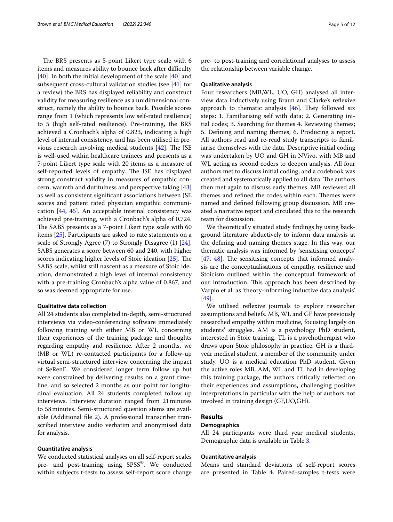The BRS presents as 5-point Likert type scale with 6 items and measures ability to bounce back after difficulty [[40\]](#page-11-23). In both the initial development of the scale [40] and subsequent cross-cultural validation studies (see [[41\]](#page-11-24) for a review) the BRS has displayed reliability and construct validity for measuring resilience as a unidimensional construct, namely the ability to bounce back. Possible scores range from 1 (which represents low self-rated resilience) to 5 (high self-rated resilience). Pre-training, the BRS achieved a Cronbach's alpha of 0.823, indicating a high level of internal consistency, and has been utilised in previous research involving medical students  $[42]$  $[42]$ . The JSE is well-used within healthcare trainees and presents as a 7-point Likert type scale with 20 items as a measure of self-reported levels of empathy. The JSE has displayed strong construct validity in measures of empathic concern, warmth and dutifulness and perspective taking [[43](#page-11-26)] as well as consistent signifcant associations between JSE scores and patient rated physician empathic communication [\[44](#page-11-27), [45](#page-11-28)]. An acceptable internal consistency was achieved pre-training, with a Cronbach's alpha of 0.724. The SABS presents as a 7-point Likert type scale with 60 items [[25\]](#page-11-29). Participants are asked to rate statements on a scale of Strongly Agree (7) to Strongly Disagree (1) [\[24](#page-11-8)]. SABS generates a score between 60 and 240, with higher scores indicating higher levels of Stoic ideation  $[25]$ . The SABS scale, whilst still nascent as a measure of Stoic ideation, demonstrated a high level of internal consistency with a pre-training Cronbach's alpha value of 0.867, and so was deemed appropriate for use.

#### **Qualitative data collection**

All 24 students also completed in-depth, semi-structured interviews via video-conferencing software immediately following training with either MB or WL concerning their experiences of the training package and thoughts regarding empathy and resilience. After 2 months, we (MB or WL) re-contacted participants for a follow-up virtual semi-structured interview concerning the impact of SeRenE. We considered longer term follow up but were constrained by delivering results on a grant timeline, and so selected 2 months as our point for longitudinal evaluation. All 24 students completed follow up interviews. Interview duration ranged from 21minutes to 58minutes. Semi-structured question stems are available (Additional fle [2](#page-10-15)). A professional transcriber transcribed interview audio verbatim and anonymised data for analysis.

### **Quantitative analysis**

We conducted statistical analyses on all self-report scales pre- and post-training using SPSS®. We conducted within subjects t-tests to assess self-report score change pre- to post-training and correlational analyses to assess the relationship between variable change.

#### **Qualitative analysis**

Four researchers (MB,WL, UO, GH) analysed all interview data inductively using Braun and Clarke's refexive approach to thematic analysis  $[46]$  $[46]$ . They followed six steps: 1. Familiarising self with data; 2. Generating initial codes; 3. Searching for themes 4. Reviewing themes; 5. Defning and naming themes; 6. Producing a report. All authors read and re-read study transcripts to familiarise themselves with the data. Descriptive initial coding was undertaken by UO and GH in NVivo, with MB and WL acting as second coders to deepen analysis. All four authors met to discuss initial coding, and a codebook was created and systematically applied to all data. The authors then met again to discuss early themes. MB reviewed all themes and refined the codes within each. Themes were named and defned following group discussion. MB created a narrative report and circulated this to the research team for discussion.

We theoretically situated study fndings by using background literature abductively to inform data analysis at the defning and naming themes stage. In this way, our thematic analysis was informed by 'sensitising concepts'  $[47, 48]$  $[47, 48]$  $[47, 48]$  $[47, 48]$  $[47, 48]$ . The sensitising concepts that informed analysis are the conceptualisations of empathy, resilience and Stoicism outlined within the conceptual framework of our introduction. This approach has been described by Varpio et al. as 'theory-informing inductive data analysis' [[49\]](#page-11-33).

We utilised reflexive journals to explore researcher assumptions and beliefs. MB, WL and GF have previously researched empathy within medicine, focusing largely on students' struggles. AM is a psychology PhD student, interested in Stoic training. TL is a psychotherapist who draws upon Stoic philosophy in practice. GH is a thirdyear medical student, a member of the community under study. UO is a medical education PhD student. Given the active roles MB, AM, WL and TL had in developing this training package, the authors critically refected on their experiences and assumptions, challenging positive interpretations in particular with the help of authors not involved in training design (GF,UO,GH).

#### **Results**

## **Demographics**

All 24 participants were third year medical students. Demographic data is available in Table [3.](#page-5-0)

#### **Quantitative analysis**

Means and standard deviations of self-report scores are presented in Table [4](#page-5-1). Paired-samples t-tests were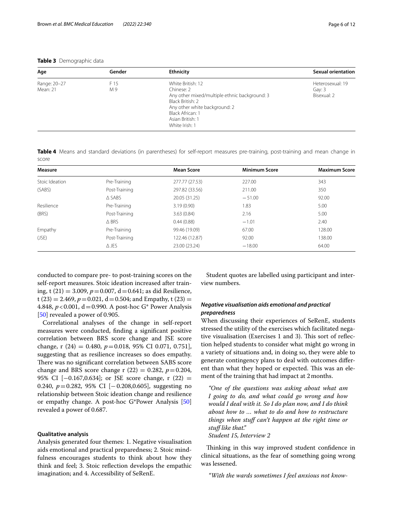## <span id="page-5-0"></span>**Table 3** Demographic data

| Age                      | Gender      | <b>Ethnicity</b>                                                                                                                                                                                | <b>Sexual orientation</b>                 |
|--------------------------|-------------|-------------------------------------------------------------------------------------------------------------------------------------------------------------------------------------------------|-------------------------------------------|
| Range: 20-27<br>Mean: 21 | F 15<br>M 9 | White British: 12<br>Chinese: 2<br>Any other mixed/multiple ethnic background: 3<br>Black British: 2<br>Any other white background: 2<br>Black African: 1<br>Asian British: 1<br>White Irish: 1 | Heterosexual: 19<br>Gay: 3<br>Bisexual: 2 |

<span id="page-5-1"></span>**Table 4** Means and standard deviations (in parentheses) for self-report measures pre-training, post-training and mean change in score

| <b>Measure</b> |                  | <b>Mean Score</b> | <b>Minimum Score</b> | <b>Maximum Score</b> |
|----------------|------------------|-------------------|----------------------|----------------------|
| Stoic Ideation | Pre-Training     | 277.77 (27.53)    | 227.00               | 343                  |
| (SABS)         | Post-Training    | 297.82 (33.56)    | 211.00               | 350                  |
|                | $\triangle$ SABS | 20.05 (31.25)     | $-51.00$             | 92.00                |
| Resilience     | Pre-Training     | 3.19(0.90)        | 1.83                 | 5.00                 |
| (BRS)          | Post-Training    | 3.63(0.84)        | 2.16                 | 5.00                 |
|                | $\triangle$ BRS  | 0.44(0.88)        | $-1.01$              | 2.40                 |
| <b>Empathy</b> | Pre-Training     | 99.46 (19.09)     | 67.00                | 128.00               |
| (JSE)          | Post-Training    | 122.46 (12.87)    | 92.00                | 138.00               |
|                | $\triangle$ JES  | 23.00 (23.24)     | $-18.00$             | 64.00                |

conducted to compare pre- to post-training scores on the self-report measures. Stoic ideation increased after training, t (21) = 3.009, *p*=0.007, d=0.641; as did Resilience, t (23) = 2.469,  $p = 0.021$ , d = 0.504; and Empathy, t (23) = 4.848,  $p < 0.001$ , d = 0.990. A post-hoc G\* Power Analysis [[50\]](#page-11-34) revealed a power of 0.905.

Correlational analyses of the change in self-report measures were conducted, fnding a signifcant positive correlation between BRS score change and JSE score change, r (24) = 0.480, *p*=0.018, 95% CI 0.071, 0.751], suggesting that as resilience increases so does empathy. There was no significant correlation between SABS score change and BRS score change r  $(22) = 0.282$ ,  $p = 0.204$ , 95% CI [−0.167,0.634]; or JSE score change, r (22) = 0.240, *p*=0.282, 95% CI [−0.208,0.605], suggesting no relationship between Stoic ideation change and resilience or empathy change. A post-hoc G\*Power Analysis [[50](#page-11-34)] revealed a power of 0.687.

#### **Qualitative analysis**

Analysis generated four themes: 1. Negative visualisation aids emotional and practical preparedness; 2. Stoic mindfulness encourages students to think about how they think and feel; 3. Stoic refection develops the empathic imagination; and 4. Accessibility of SeRenE.

Student quotes are labelled using participant and interview numbers.

## *Negative visualisation aids emotional and practical preparedness*

When discussing their experiences of SeRenE, students stressed the utility of the exercises which facilitated negative visualisation (Exercises 1 and 3). This sort of reflection helped students to consider what might go wrong in a variety of situations and, in doing so, they were able to generate contingency plans to deal with outcomes diferent than what they hoped or expected. This was an element of the training that had impact at 2months.

*"One of the questions was asking about what am I going to do, and what could go wrong and how would I deal with it. So I do plan now, and I do think about how to … what to do and how to restructure things when stuf can't happen at the right time or stuf like that." Student 15, Interview 2*

Thinking in this way improved student confidence in clinical situations, as the fear of something going wrong was lessened.

*"With the wards sometimes I feel anxious not know-*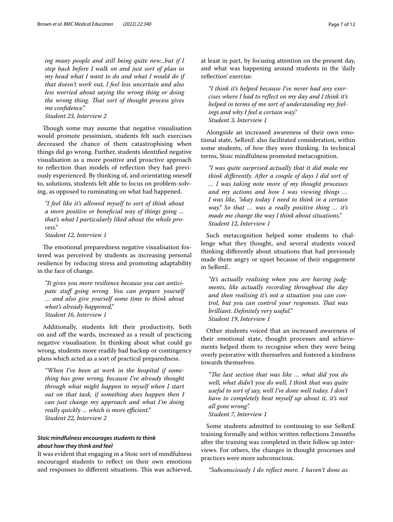*ing many people and still being quite new...but if I step back before I walk on and just sort of plan in my head what I want to do and what I would do if that doesn't work out, I feel less uncertain and also less worried about saying the wrong thing or doing the wrong thing. Tat sort of thought process gives me confdence."*

*Student 23, Interview 2*

Though some may assume that negative visualisation would promote pessimism, students felt such exercises decreased the chance of them catastrophising when things did go wrong. Further, students identifed negative visualisation as a more positive and proactive approach to refection than models of refection they had previously experienced. By thinking of, and orientating oneself to, solutions, students felt able to focus on problem-solving, as opposed to ruminating on what had happened.

*"I feel like it's allowed myself to sort of think about a more positive or benefcial way of things going … that's what I particularly liked about the whole process."*

*Student 12, Interview 1*

The emotional preparedness negative visualisation fostered was perceived by students as increasing personal resilience by reducing stress and promoting adaptability in the face of change.

*"It gives you more resilience because you can anticipate stuf going wrong. You can prepare yourself … and also give yourself some time to think about what's already happened," Student 16, Interview 1*

Additionally, students felt their productivity, both on and of the wards, increased as a result of practicing negative visualisation. In thinking about what could go wrong, students more readily had backup or contingency plans which acted as a sort of practical preparedness.

*"When I've been at work in the hospital if something has gone wrong, because I've already thought through what might happen to myself when I start out on that task, if something does happen then I can just change my approach and what I'm doing really quickly ... which is more efficient.*" *Student 22, Interview 2*

## *Stoic mindfulness encourages students to think about how they think and feel*

It was evident that engaging in a Stoic sort of mindfulness encouraged students to refect on their own emotions and responses to different situations. This was achieved, at least in part, by focusing attention on the present day, and what was happening around students in the 'daily refection' exercise.

*"I think it's helped because I've never had any exercises where I had to refect on my day and I think it's helped in terms of me sort of understanding my feelings and why I feel a certain way." Student 3, Interview 1*

Alongside an increased awareness of their own emotional state, SeRenE also facilitated consideration, within some students, of *how* they were thinking. In technical terms, Stoic mindfulness promoted metacognition.

*"I was quite surprised actually that it did make me think diferently. After a couple of days I did sort of … I was taking note more of my thought processes and my actions and how I was viewing things … I was like, "okay today I need to think in a certain way." So that … was a really positive thing … it's made me change the way I think about situations." Student 12, Interview 1*

Such metacognition helped some students to challenge what they thought, and several students voiced thinking diferently about situations that had previously made them angry or upset because of their engagement in SeRenE.

*"It's actually realising when you are having judgments, like actually recording throughout the day and then realising it's not a situation you can control, but you can control your responses. Tat was brilliant. Defnitely very useful." Student 19, Interview 1*

Other students voiced that an increased awareness of their emotional state, thought processes and achievements helped them to recognise when they were being overly pejorative with themselves and fostered a kindness towards themselves.

"The last section that was like ... what did you do *well, what didn't you do well, I think that was quite useful to sort of say, well I've done well today. I don't have to completely beat myself up about it, it's not all gone wrong". Student 7, Interview 1*

Some students admitted to continuing to use SeRenE training formally and within written refections 2months after the training was completed in their follow up interviews. For others, the changes in thought processes and practices were more subconscious.

*"Subconsciously I do refect more. I haven't done as*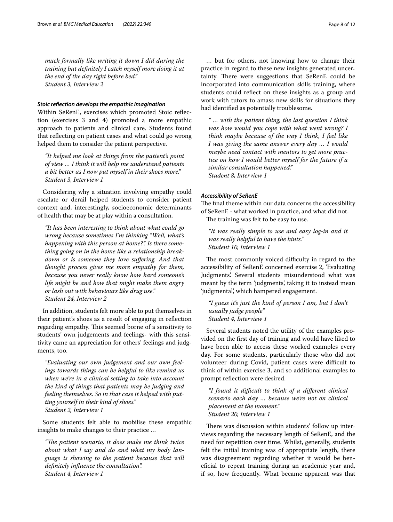*much formally like writing it down I did during the training but defnitely I catch myself more doing it at the end of the day right before bed." Student 3, Interview 2*

## *Stoic refection develops the empathic imagination*

Within SeRenE, exercises which promoted Stoic refection (exercises 3 and 4) promoted a more empathic approach to patients and clinical care. Students found that refecting on patient cases and what could go wrong helped them to consider the patient perspective.

*"It helped me look at things from the patient's point of view … I think it will help me understand patients a bit better as I now put myself in their shoes more." Student 3, Interview 1*

Considering why a situation involving empathy could escalate or derail helped students to consider patient context and, interestingly, socioeconomic determinants of health that may be at play within a consultation.

*"It has been interesting to think about what could go wrong because sometimes I'm thinking "Well, what's happening with this person at home?". Is there something going on in the home like a relationship breakdown or is someone they love sufering. And that thought process gives me more empathy for them, because you never really know how hard someone's life might be and how that might make them angry or lash out with behaviours like drug use." Student 24, Interview 2*

In addition, students felt more able to put themselves in their patient's shoes as a result of engaging in refection regarding empathy. This seemed borne of a sensitivity to students' own judgements and feelings- with this sensitivity came an appreciation for others' feelings and judgments, too.

*"Evaluating our own judgement and our own feelings towards things can be helpful to like remind us when we're in a clinical setting to take into account the kind of things that patients may be judging and feeling themselves. So in that case it helped with putting yourself in their kind of shoes." Student 2, Interview 1*

Some students felt able to mobilise these empathic insights to make changes to their practice …

*"Te patient scenario, it does make me think twice about what I say and do and what my body language is showing to the patient because that will defnitely infuence the consultation". Student 4, Interview 1*

… but for others, not knowing how to change their practice in regard to these new insights generated uncertainty. There were suggestions that SeRenE could be incorporated into communication skills training, where students could refect on these insights as a group and work with tutors to amass new skills for situations they had identifed as potentially troublesome.

*" … with the patient thing, the last question I think was how would you cope with what went wrong? I think maybe because of the way I think, I feel like I was giving the same answer every day … I would maybe need contact with mentors to get more practice on how I would better myself for the future if a similar consultation happened." Student 8, Interview 1*

## *Accessibility of SeRenE*

The final theme within our data concerns the accessibility of SeRenE - what worked in practice, and what did not. The training was felt to be easy to use.

*"It was really simple to use and easy log-in and it was really helpful to have the hints." Student 10, Interview 1*

The most commonly voiced difficulty in regard to the accessibility of SeRenE concerned exercise 2, 'Evaluating Judgments'. Several students misunderstood what was meant by the term 'judgments', taking it to instead mean 'judgmental', which hampered engagement.

*"I guess it's just the kind of person I am, but I don't usually judge people" Student 4, Interview 1*

Several students noted the utility of the examples provided on the frst day of training and would have liked to have been able to access these worked examples every day. For some students, particularly those who did not volunteer during Covid, patient cases were difficult to think of within exercise 3, and so additional examples to prompt refection were desired.

*"I found it difcult to think of a diferent clinical scenario each day … because we're not on clinical placement at the moment." Student 20, Interview 1*

There was discussion within students' follow up interviews regarding the necessary length of SeRenE, and the need for repetition over time. Whilst, generally, students felt the initial training was of appropriate length, there was disagreement regarding whether it would be benefcial to repeat training during an academic year and, if so, how frequently. What became apparent was that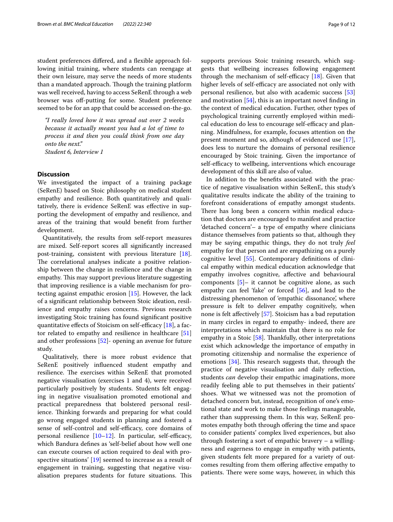student preferences difered, and a fexible approach following initial training, where students can reengage at their own leisure, may serve the needs of more students than a mandated approach. Though the training platform was well received, having to access SeRenE through a web browser was off-putting for some. Student preference seemed to be for an app that could be accessed on-the-go.

*"I really loved how it was spread out over 2 weeks because it actually meant you had a lot of time to process it and then you could think from one day onto the next." Student 6, Interview 1*

#### **Discussion**

We investigated the impact of a training package (SeRenE) based on Stoic philosophy on medical student empathy and resilience. Both quantitatively and qualitatively, there is evidence SeRenE was efective in supporting the development of empathy and resilience, and areas of the training that would beneft from further development.

Quantitatively, the results from self-report measures are mixed. Self-report scores all signifcantly increased post-training, consistent with previous literature [\[18](#page-11-2)]. The correlational analyses indicate a positive relationship between the change in resilience and the change in empathy. This may support previous literature suggesting that improving resilience is a viable mechanism for protecting against empathic erosion [[15\]](#page-10-13). However, the lack of a signifcant relationship between Stoic ideation, resilience and empathy raises concerns. Previous research investigating Stoic training has found signifcant positive quantitative effects of Stoicism on self-efficacy  $[18]$  $[18]$ , a factor related to empathy and resilience in healthcare [[51](#page-11-35)] and other professions [[52](#page-11-36)]- opening an avenue for future study.

Qualitatively, there is more robust evidence that SeRenE positively infuenced student empathy and resilience. The exercises within SeRenE that promoted negative visualisation (exercises 1 and 4), were received particularly positively by students. Students felt engaging in negative visualisation promoted emotional and practical preparedness that bolstered personal resilience. Thinking forwards and preparing for what could go wrong engaged students in planning and fostered a sense of self-control and self-efficacy, core domains of personal resilience  $[10-12]$  $[10-12]$  $[10-12]$ . In particular, self-efficacy, which Bandura defnes as 'self-belief about how well one can execute courses of action required to deal with prospective situations' [\[19](#page-11-3)] seemed to increase as a result of engagement in training, suggesting that negative visualisation prepares students for future situations. This supports previous Stoic training research, which suggests that wellbeing increases following engagement through the mechanism of self-efficacy  $[18]$  $[18]$ . Given that higher levels of self-efficacy are associated not only with personal resilience, but also with academic success [[53](#page-11-37)] and motivation [\[54\]](#page-11-38), this is an important novel fnding in the context of medical education. Further, other types of psychological training currently employed within medical education do less to encourage self-efficacy and planning. Mindfulness, for example, focuses attention on the present moment and so, although of evidenced use [\[17](#page-11-1)], does less to nurture the domains of personal resilience encouraged by Stoic training. Given the importance of self-efficacy to wellbeing, interventions which encourage development of this skill are also of value.

In addition to the benefts associated with the practice of negative visualisation within SeRenE, this study's qualitative results indicate the ability of the training to forefront considerations of empathy amongst students. There has long been a concern within medical education that doctors are encouraged to manifest and practice 'detached concern'– a type of empathy where clinicians distance themselves from patients so that, although they may be saying empathic things, they do not truly *feel* empathy for that person and are empathizing on a purely cognitive level [[55\]](#page-11-39). Contemporary defnitions of clinical empathy within medical education acknowledge that empathy involves cognitive, afective and behavioural components [[5\]](#page-10-4)– it cannot be cognitive alone, as such empathy can feel 'fake' or forced [[56\]](#page-11-40), and lead to the distressing phenomenon of 'empathic dissonance', where pressure is felt to deliver empathy cognitively, when none is felt afectively [\[57](#page-11-41)]. Stoicism has a bad reputation in many circles in regard to empathy- indeed, there are interpretations which maintain that there is no role for empathy in a Stoic [[58\]](#page-11-42). Thankfully, other interpretations exist which acknowledge the importance of empathy in promoting citizenship and normalise the experience of emotions  $[34]$  $[34]$ . This research suggests that, through the practice of negative visualisation and daily refection, students *can* develop their empathic imaginations, more readily feeling able to put themselves in their patients' shoes. What we witnessed was not the promotion of detached concern but, instead, recognition of one's emotional state and work to make those feelings manageable, rather than suppressing them. In this way, SeRenE promotes empathy both through offering the time and space to consider patients' complex lived experiences, but also through fostering a sort of empathic bravery – a willingness and eagerness to engage in empathy with patients, given students felt more prepared for a variety of outcomes resulting from them ofering afective empathy to patients. There were some ways, however, in which this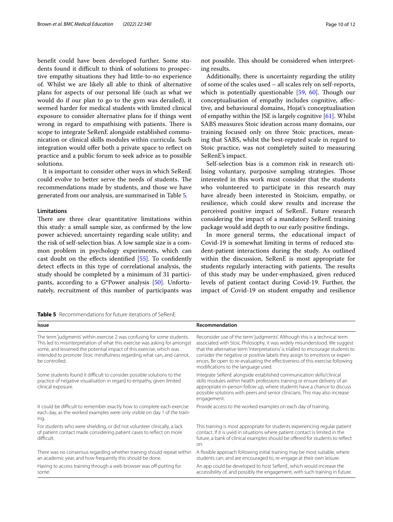beneft could have been developed further. Some students found it difficult to think of solutions to prospective empathy situations they had little-to-no experience of. Whilst we are likely all able to think of alternative plans for aspects of our personal life (such as what we would do if our plan to go to the gym was derailed), it seemed harder for medical students with limited clinical exposure to consider alternative plans for if things went wrong in regard to empathising with patients. There is scope to integrate SeRenE alongside established communication or clinical skills modules within curricula. Such integration would offer both a private space to reflect on practice and a public forum to seek advice as to possible solutions.

It is important to consider other ways in which SeRenE could evolve to better serve the needs of students. The recommendations made by students, and those we have generated from our analysis, are summarised in Table [5.](#page-9-0)

#### **Limitations**

There are three clear quantitative limitations within this study: a small sample size, as confrmed by the low power achieved; uncertainty regarding scale utility; and the risk of self-selection bias. A low sample size is a common problem in psychology experiments, which can cast doubt on the efects identifed [\[55](#page-11-39)]. To confdently detect efects in this type of correlational analysis, the study should be completed by a minimum of 31 participants, according to a G\*Power analysis [\[50\]](#page-11-34). Unfortunately, recruitment of this number of participants was

<span id="page-9-0"></span>**Table 5** Recommendations for future iterations of SeRenE

| Issue                                                                                                                                                                                                                                                                                                                   | Recommendation                                                                                                                                                                                                                                                                                                                                                                                                                                   |
|-------------------------------------------------------------------------------------------------------------------------------------------------------------------------------------------------------------------------------------------------------------------------------------------------------------------------|--------------------------------------------------------------------------------------------------------------------------------------------------------------------------------------------------------------------------------------------------------------------------------------------------------------------------------------------------------------------------------------------------------------------------------------------------|
| The term 'judgments' within exercise 2 was confusing for some students.<br>This led to misinterpretation of what this exercise was asking for amongst<br>some, and lessened the potential impact of this exercise, which was<br>intended to promote Stoic mindfulness regarding what can, and cannot,<br>be controlled. | Reconsider use of the term 'judgments'. Although this is a technical term<br>associated with Stoic Philosophy, it was widely misunderstood. We suggest<br>that the alternative term 'interpretations' is trialled to encourage students to<br>consider the negative or positive labels they assign to emotions or experi-<br>ences. Be open to re-evaluating the effectiveness of this exercise following<br>modifications to the language used. |
| Some students found it difficult to consider possible solutions to the<br>practice of negative visualisation in regard to empathy, given limited<br>clinical exposure.                                                                                                                                                  | Integrate SeRenE alongside established communication skills/clinical<br>skills modules within health professions training or ensure delivery of an<br>appropriate in-person follow up, where students have a chance to discuss<br>possible solutions with peers and senior clinicians. This may also increase<br>engagement.                                                                                                                     |
| It could be difficult to remember exactly how to complete each exercise<br>each day, as the worked examples were only visible on day 1 of the train-<br>ing.                                                                                                                                                            | Provide access to the worked examples on each day of training.                                                                                                                                                                                                                                                                                                                                                                                   |
| For students who were shielding, or did not volunteer clinically, a lack<br>of patient contact made considering patient cases to reflect on more<br>difficult.                                                                                                                                                          | This training is most appropriate for students experiencing regular patient<br>contact. If it is used in situations where patient contact is limited in the<br>future, a bank of clinical examples should be offered for students to reflect<br>on.                                                                                                                                                                                              |
| There was no consensus regarding whether training should repeat within<br>an academic year, and how frequently this should be done.                                                                                                                                                                                     | A flexible approach following initial training may be most suitable, where<br>students can, and are encouraged to, re-engage at their own leisure.                                                                                                                                                                                                                                                                                               |
| Having to access training through a web browser was off-putting for<br>some.                                                                                                                                                                                                                                            | An app could be developed to host SeRenE, which would increase the<br>accessibility of, and possibly the engagement, with such training in future.                                                                                                                                                                                                                                                                                               |

not possible. This should be considered when interpreting results.

Additionally, there is uncertainty regarding the utility of some of the scales used – all scales rely on self-reports, which is potentially questionable  $[59, 60]$  $[59, 60]$  $[59, 60]$ . Though our conceptualisation of empathy includes cognitive, afective, and behavioural domains, Hojat's conceptualisation of empathy within the JSE is largely cognitive [\[61](#page-11-45)]. Whilst SABS measures Stoic ideation across many domains, our training focused only on three Stoic practices, meaning that SABS, whilst the best-reputed scale in regard to Stoic practice, was not completely suited to measuring SeRenE's impact.

Self-selection bias is a common risk in research utilising voluntary, purposive sampling strategies. Those interested in this work must consider that the students who volunteered to participate in this research may have already been interested in Stoicism, empathy, or resilience, which could skew results and increase the perceived positive impact of SeRenE. Future research considering the impact of a mandatory SeRenE training package would add depth to our early positive fndings.

In more general terms, the educational impact of Covid-19 is somewhat limiting in terms of reduced student-patient interactions during the study. As outlined within the discussion, SeRenE is most appropriate for students regularly interacting with patients. The results of this study may be under-emphasized, given reduced levels of patient contact during Covid-19. Further, the impact of Covid-19 on student empathy and resilience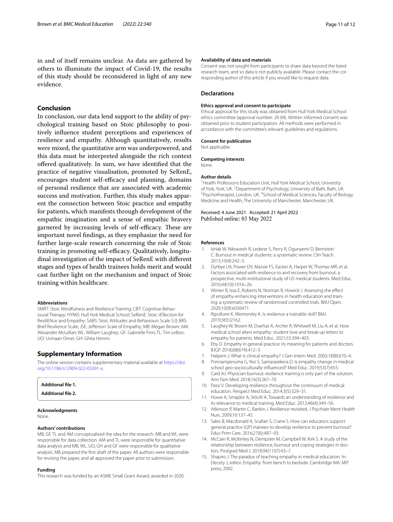## **Conclusion**

In conclusion, our data lend support to the ability of psychological training based on Stoic philosophy to positively infuence student perceptions and experiences of resilience and empathy. Although quantitatively, results were mixed, the quantitative arm was underpowered, and this data must be interpreted alongside the rich context ofered qualitatively. In sum, we have identifed that the practice of negative visualisation, promoted by SeRenE, encourages student self-efficacy and planning, domains of personal resilience that are associated with academic success and motivation. Further, this study makes apparent the connection between Stoic practice and empathy for patients, which manifests through development of the empathic imagination and a sense of empathic bravery garnered by increasing levels of self-efficacy. These are important novel fndings, as they emphasize the need for further large-scale research concerning the role of Stoic training in promoting self-efficacy. Qualitatively, longitudinal investigation of the impact of SeRenE with diferent stages and types of health trainees holds merit and would cast further light on the mechanism and impact of Stoic training within healthcare.

#### **Abbreviations**

SMRT: Stoic Mindfulness and Resilience Training; CBT: Cognitive Behavioural Therapy; HYMS: Hull York Medical School; SeRenE: Stoic rEfection for ResiliENce and Empathy; SABS: Stoic Attitudes and Behaviours Scale 5.0; BRS: Brief Resilience Scale; JSE: Jeferson Scale of Empathy; MB: Megan Brown; AM: Alexander McLellan; WL: William Laughey; GF: Gabrielle Finn; TL: Tim LeBon; UO: Usmaan Omer; GH: Ghita Himmi.

#### **Supplementary Information**

The online version contains supplementary material available at [https://doi.](https://doi.org/10.1186/s12909-022-03391-x) [org/10.1186/s12909-022-03391-x.](https://doi.org/10.1186/s12909-022-03391-x)

#### <span id="page-10-15"></span><span id="page-10-14"></span>**Additional fle 1.**

**Additional fle 2.**

#### **Acknowledgments**

None.

#### **Authors' contributions**

MB, GF, TL and AM conceptualised the idea for the research. MB and WL were responsible for data collection. AM and TL were responsible for quantitative data analysis and MB, WL, UO, GH and GF were responsible for qualitative analysis. MB prepared the frst draft of the paper. All authors were responsible for revising the paper, and all approved the paper prior to submission.

#### **Funding**

This research was funded by an ASME Small Grant Award, awarded in 2020.

#### **Availability of data and materials**

Consent was not sought from participants to share data beyond the listed research team, and so data is not publicly available. Please contact the corresponding author of this article if you would like to request data.

#### **Declarations**

#### **Ethics approval and consent to participate**

Ethical approval for this study was obtained from Hull York Medical School ethics committee (approval number: 20 04). Written informed consent was obtained prior to student participation. All methods were performed in accordance with the committee's relevant guidelines and regulations.

#### **Consent for publication**

Not applicable.

#### **Competing interests**

None.

#### **Author details**

<sup>1</sup> Health Professions Education Unit, Hull York Medical School, University of York, York, UK. <sup>2</sup> Department of Psychology, University of Bath, Bath, UK.<br><sup>3</sup> Psychotheranist London, UK. <sup>4</sup> School of Medical Sciences, Faculty of Biol Psychotherapist, London, UK. <sup>4</sup>School of Medical Sciences, Faculty of Biology, Medicine and Health, The University of Manchester, Manchester, UK.

Received: 4 June 2021 Accepted: 21 April 2022 Published online: 03 May 2022

#### **References**

- <span id="page-10-0"></span>1. IsHak W, Nikravesh R, Lederer S, Perry R, Ogunyemi D, Bernstein C. Burnout in medical students: a systematic review. Clin Teach. 2013;10(4):242–5.
- <span id="page-10-1"></span>2. Dyrbye LN, Power DV, Massie FS, Eacker A, Harper W, Thomas MR, et al. Factors associated with resilience to and recovery from burnout: a prospective, multi-institutional study of US medical students. Med Educ. 2010;44(10):1016–26.
- <span id="page-10-2"></span>3. Winter R, Issa E, Roberts N, Norman R, Howick J. Assessing the efect of empathy-enhancing interventions in health education and training: a systematic review of randomised controlled trials. BMJ Open. 2020;10(9):e036471.
- <span id="page-10-3"></span>4. Ripullone K, Womersley K. Is resilience a trainable skill? BMJ. 2019;365:I2162.
- <span id="page-10-4"></span>5. Laughey W, Brown M, Dueñas A, Archer R, Whitwell M, Liu A, et al. How medical school alters empathy: student love and break up letters to empathy for patients. Med Educ. 2021;55:394–403.
- <span id="page-10-5"></span>6. Eby D. Empathy in general practice: its meaning for patients and doctors. BJGP. 2018;68(674):412–3.
- <span id="page-10-6"></span>7. Halpern J. What is clinical empathy? J Gen Intern Med. 2003;18(8):670–4.
- <span id="page-10-7"></span>8. Ponnamperuma G, Yeo S, Samarasekera D. Is empathy change in medical school geo-socioculturally infuenced? Med Educ. 2019;53(7):655.
- <span id="page-10-8"></span>9. Card AJ. Physician burnout: resilience training is only part of the solution. Ann Fam Med. 2018;16(3):267–70.
- <span id="page-10-9"></span>10. Passi V. Developing resilience throughout the continuum of medical education. Perspect Med Educ. 2014;3(5):329–31.
- 11. Howe A, Smajdor A, Stöckl A. Towards an understanding of resilience and its relevance to medical training. Med Educ. 2012;46(4):349–56.
- <span id="page-10-10"></span>12. Atkinson P, Martin C, Rankin J. Resilience revisited. J Psychiatr Ment Health Nurs. 2009;16:137–45.
- <span id="page-10-11"></span>13. Sales B, Macdonald A, Scallan S, Crane S. How can educators support general practice (GP) trainees to develop resilience to prevent burnout? Educ Prim Care. 2016;27(6):487–93.
- <span id="page-10-12"></span>14. McCain R, McKinley N, Dempster M, Campbell W, Kirk S. A study of the relationship between resilience, burnout and coping strategies in doctors. Postgrad Med J. 2018;94(1107):43–7.
- <span id="page-10-13"></span>15. Shapiro J. The paradox of teaching empathy in medical education. In: Decety J, editor. Empathy: from bench to bedside. Cambridge MA: MIT press; 2002.